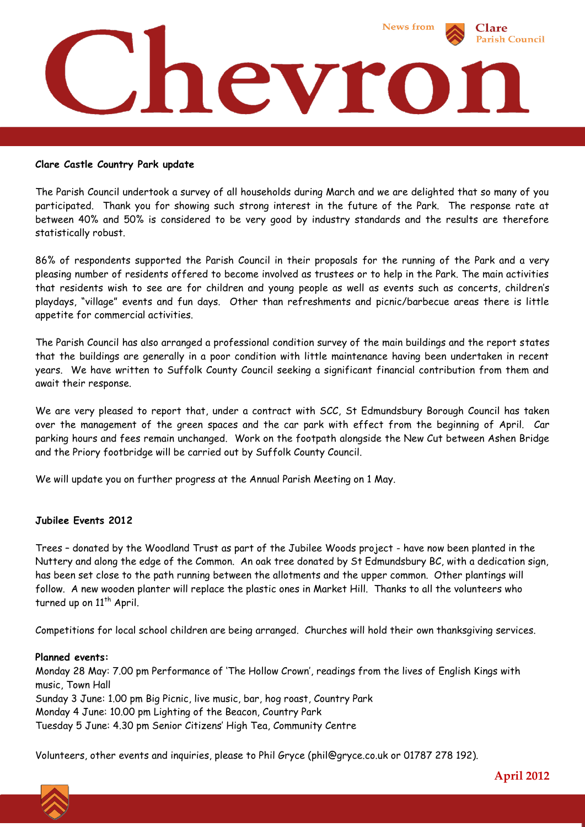

## **Clare Castle Country Park update**

The Parish Council undertook a survey of all households during March and we are delighted that so many of you participated. Thank you for showing such strong interest in the future of the Park. The response rate at between 40% and 50% is considered to be very good by industry standards and the results are therefore statistically robust.

86% of respondents supported the Parish Council in their proposals for the running of the Park and a very pleasing number of residents offered to become involved as trustees or to help in the Park. The main activities that residents wish to see are for children and young people as well as events such as concerts, children's playdays, "village" events and fun days. Other than refreshments and picnic/barbecue areas there is little appetite for commercial activities.

The Parish Council has also arranged a professional condition survey of the main buildings and the report states that the buildings are generally in a poor condition with little maintenance having been undertaken in recent years. We have written to Suffolk County Council seeking a significant financial contribution from them and await their response.

We are very pleased to report that, under a contract with SCC, St Edmundsbury Borough Council has taken over the management of the green spaces and the car park with effect from the beginning of April. Car parking hours and fees remain unchanged. Work on the footpath alongside the New Cut between Ashen Bridge and the Priory footbridge will be carried out by Suffolk County Council.

We will update you on further progress at the Annual Parish Meeting on 1 May.

## **Jubilee Events 2012**

Trees – donated by the Woodland Trust as part of the Jubilee Woods project - have now been planted in the Nuttery and along the edge of the Common. An oak tree donated by St Edmundsbury BC, with a dedication sign, has been set close to the path running between the allotments and the upper common. Other plantings will follow. A new wooden planter will replace the plastic ones in Market Hill. Thanks to all the volunteers who turned up on 11<sup>th</sup> April.

Competitions for local school children are being arranged. Churches will hold their own thanksgiving services.

## **Planned events:**

Monday 28 May: 7.00 pm Performance of 'The Hollow Crown', readings from the lives of English Kings with music, Town Hall Sunday 3 June: 1.00 pm Big Picnic, live music, bar, hog roast, Country Park Monday 4 June: 10.00 pm Lighting of the Beacon, Country Park Tuesday 5 June: 4.30 pm Senior Citizens' High Tea, Community Centre

Volunteers, other events and inquiries, please to Phil Gryce (phil@gryce.co.uk or 01787 278 192).